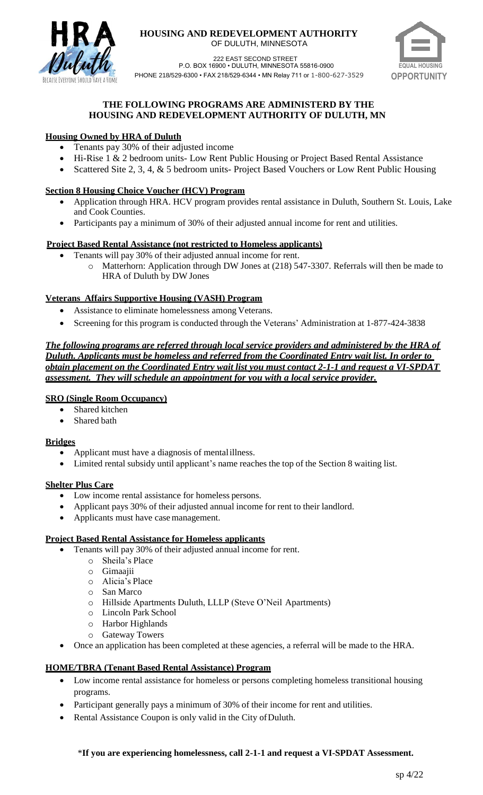

#### **HOUSING AND REDEVELOPMENT AUTHORITY** OF DULUTH, MINNESOTA



222 EAST SECOND STREET P.O. BOX 16900 • DULUTH, MINNESOTA 55816-0900 PHONE 218/529-6300 • FAX 218/529-6344 • MN Relay 711 or 1-800-627-3529 **OPPORTUNITY**

# **THE FOLLOWING PROGRAMS ARE ADMINISTERD BY THE HOUSING AND REDEVELOPMENT AUTHORITY OF DULUTH, MN**

# **Housing Owned by HRA of Duluth**

- Tenants pay 30% of their adjusted income
- Hi-Rise 1 & 2 bedroom units- Low Rent Public Housing or Project Based Rental Assistance
- Scattered Site 2, 3, 4, & 5 bedroom units- Project Based Vouchers or Low Rent Public Housing

# **Section 8 Housing Choice Voucher (HCV) Program**

- Application through HRA. HCV program provides rental assistance in Duluth, Southern St. Louis, Lake and Cook Counties.
- Participants pay a minimum of 30% of their adjusted annual income for rent and utilities.

# **Project Based Rental Assistance (not restricted to Homeless applicants)**

- Tenants will pay 30% of their adjusted annual income for rent.
	- o Matterhorn: Application through DW Jones at (218) 547-3307. Referrals will then be made to HRA of Duluth by DW Jones

# **Veterans Affairs Supportive Housing (VASH) Program**

- Assistance to eliminate homelessness among Veterans.
- Screening for this program is conducted through the Veterans' Administration at 1-877-424-3838

*The following programs are referred through local service providers and administered by the HRA of Duluth. Applicants must be homeless and referred from the Coordinated Entry wait list. In order to obtain placement on the Coordinated Entry wait list you must contact 2-1-1 and request a VI-SPDAT assessment. They will schedule an appointment for you with a local service provider.*

# **SRO (Single Room Occupancy)**

- Shared kitchen
- Shared bath

## **Bridges**

- Applicant must have a diagnosis of mentalillness.
- Limited rental subsidy until applicant's name reaches the top of the Section 8 waiting list.

## **Shelter Plus Care**

- Low income rental assistance for homeless persons.
- Applicant pays 30% of their adjusted annual income for rent to their landlord.
- Applicants must have casemanagement.

## **Project Based Rental Assistance for Homeless applicants**

- Tenants will pay 30% of their adjusted annual income for rent.
	- o Sheila's Place
	- o Gimaajii
	- o Alicia's Place
	- o San Marco
	- o Hillside Apartments Duluth, LLLP (Steve O'Neil Apartments)
	- o Lincoln Park School
	- o Harbor Highlands
	- o Gateway Towers
- Once an application has been completed at these agencies, a referral will be made to the HRA.

# **HOME/TBRA (Tenant Based Rental Assistance) Program**

- Low income rental assistance for homeless or persons completing homeless transitional housing programs.
- Participant generally pays a minimum of 30% of their income for rent and utilities.
- Rental Assistance Coupon is only valid in the City of Duluth.

## \***If you are experiencing homelessness, call 2-1-1 and request a VI-SPDAT Assessment.**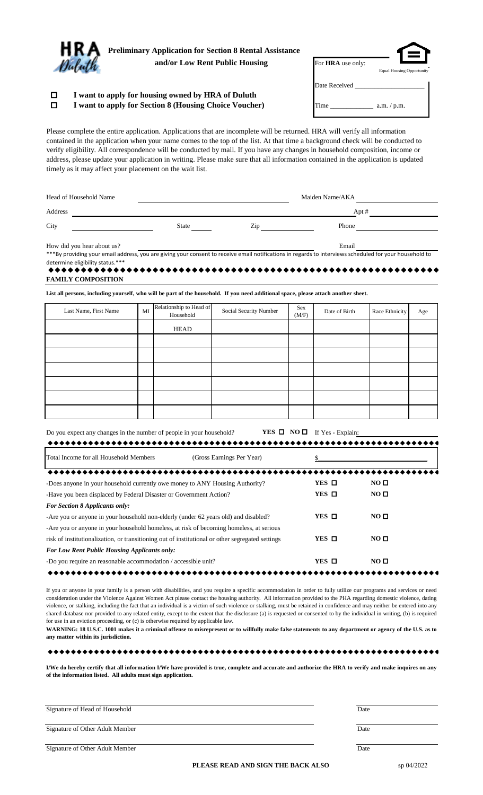| <b>Preliminary Application for Section 8 Rental Assistance</b><br>and/or Low Rent Public Housing | For <b>HRA</b> use only: | <b>Equal Housing Opportunity</b> |
|--------------------------------------------------------------------------------------------------|--------------------------|----------------------------------|
| I want to apply for housing owned by HRA of Duluth                                               | Date Received            |                                  |

|  | I want to apply for Section 8 (Housing Choice Voucher) | Time | a.m. / p.m. |
|--|--------------------------------------------------------|------|-------------|

Please complete the entire application. Applications that are incomplete will be returned. HRA will verify all information contained in the application when your name comes to the top of the list. At that time a background check will be conducted to verify eligibility. All correspondence will be conducted by mail. If you have any changes in household composition, income or address, please update your application in writing. Please make sure that all information contained in the application is updated timely as it may affect your placement on the wait list.

| Head of Household Name     |       |     | Maiden Name/AKA |  |  |
|----------------------------|-------|-----|-----------------|--|--|
| Address                    |       |     | Apt #           |  |  |
| City                       | State | Zip | Phone           |  |  |
| How did you hear about us? |       |     | Email           |  |  |

\*\*\*By providing your email address, you are giving your consent to receive email notifications in regards to interviews scheduled for your household to determine eligibility status.\*\*\*

| <b>FAMILY COMPOSITION</b> |
|---------------------------|

**List all persons, including yourself, who will be part of the household. If you need additional space, please attach another sheet.**

| Last Name, First Name | $\rm MI$ | Relationship to Head of<br>Household | Social Security Number | Sex<br>(M/F) | Date of Birth | Race Ethnicity | Age |
|-----------------------|----------|--------------------------------------|------------------------|--------------|---------------|----------------|-----|
|                       |          | HEAD                                 |                        |              |               |                |     |
|                       |          |                                      |                        |              |               |                |     |
|                       |          |                                      |                        |              |               |                |     |
|                       |          |                                      |                        |              |               |                |     |
|                       |          |                                      |                        |              |               |                |     |
|                       |          |                                      |                        |              |               |                |     |
|                       |          |                                      |                        |              |               |                |     |

| Do you expect any changes in the number of people in your household? | <b>YES <math>\Box</math> NO <math>\Box</math></b> If Yes - Explain: |  |
|----------------------------------------------------------------------|---------------------------------------------------------------------|--|
|                                                                      |                                                                     |  |

| Total Income for all Household Members<br>(Gross Earnings Per Year)                              |                 |                 |  |
|--------------------------------------------------------------------------------------------------|-----------------|-----------------|--|
|                                                                                                  |                 |                 |  |
| -Does anyone in your household currently owe money to ANY Housing Authority?                     | YES $\Box$      | NO <sub>0</sub> |  |
| -Have you been displaced by Federal Disaster or Government Action?                               | $YES$ $\square$ | NO <sub>0</sub> |  |
| <b>For Section 8 Applicants only:</b>                                                            |                 |                 |  |
| -Are you or anyone in your household non-elderly (under 62 years old) and disabled?              | $YES$ $\square$ | NO <sub>0</sub> |  |
| -Are you or anyone in your household homeless, at risk of becoming homeless, at serious          |                 |                 |  |
| risk of institutionalization, or transitioning out of institutional or other segregated settings | $YES$ $\square$ | NO <sub>Q</sub> |  |
| <b>For Low Rent Public Housing Applicants only:</b>                                              |                 |                 |  |
| -Do you require an reasonable accommodation / accessible unit?                                   | $YES$ $\square$ | NO <sub>0</sub> |  |
|                                                                                                  |                 |                 |  |

If you or anyone in your family is a person with disabilities, and you require a specific accommodation in order to fully utilize our programs and services or need consideration under the Violence Against Women Act please contact the housing authority. All information provided to the PHA regarding domestic violence, dating violence, or stalking, including the fact that an individual is a victim of such violence or stalking, must be retained in confidence and may neither be entered into any shared database nor provided to any related entity, except to the extent that the disclosure (a) is requested or consented to by the individual in writing, (b) is required for use in an eviction proceeding, or (c) is otherwise required by applicable law.

**WARNING: 18 U.S.C. 1001 makes it a criminal offense to misrepresent or to willfully make false statements to any department or agency of the U.S. as to any matter within its jurisdiction.**

**I/We do hereby certify that all information I/We have provided is true, complete and accurate and authorize the HRA to verify and make inquires on any of the information listed. All adults must sign application.**

| Signature of Head of Household  | Date |  |
|---------------------------------|------|--|
| Signature of Other Adult Member | Date |  |
| Signature of Other Adult Member | Date |  |